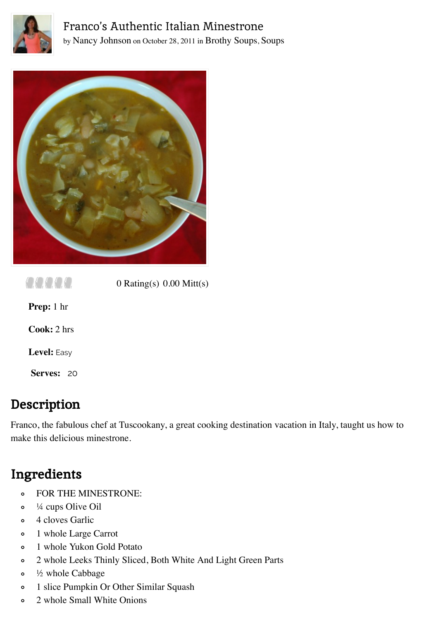



aaaa 0 Rating(s) 0.00 Mitt(s) **Prep:** 1 hr **Cook:** 2 hrs

**Level:** Easy

**Serves:** 20

## **Description**

Franco, the fabulous chef at Tuscookany, a great cooking destination vacation in Italy, taught us how to make this delicious minestrone.

## **Ingredients**

- FOR THE MINESTRONE:  $\circ$
- ¼ cups Olive Oil  $\circ$
- 4 cloves Garlic  $\mathbf{o}$
- 1 whole Large Carrot  $\circ$
- 1 whole Yukon Gold Potato  $\circ$
- 2 whole Leeks Thinly Sliced, Both White And Light Green Parts  $\circ$
- ½ whole Cabbage  $\circ$
- 1 slice Pumpkin Or Other Similar Squash  $\circ$
- 2 whole Small White Onions $\circ$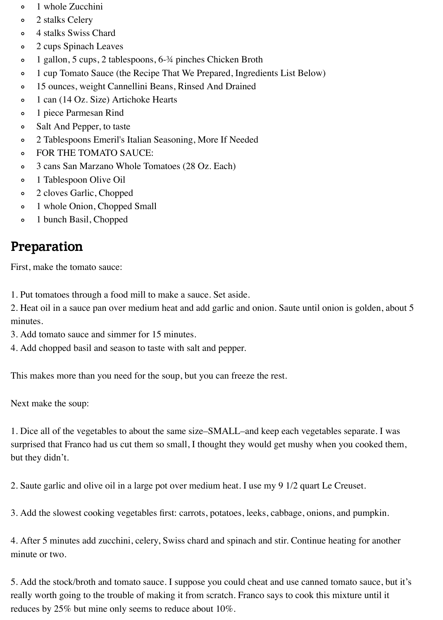- 1 whole Zucchini  $\circ$
- 2 stalks Celery  $\circ$
- 4 stalks Swiss Chard  $\circ$
- 2 cups Spinach Leaves  $\circ$
- 1 gallon, 5 cups, 2 tablespoons, 6-¾ pinches Chicken Broth  $\circ$
- 1 cup Tomato Sauce (the Recipe That We Prepared, Ingredients List Below)  $\circ$
- 15 ounces, weight Cannellini Beans, Rinsed And Drained  $\circ$
- 1 can (14 Oz. Size) Artichoke Hearts  $\circ$
- 1 piece Parmesan Rind  $\circ$
- Salt And Pepper, to taste  $\circ$
- 2 Tablespoons Emeril's Italian Seasoning, More If Needed  $\circ$
- FOR THE TOMATO SAUCE:  $\circ$
- 3 cans San Marzano Whole Tomatoes (28 Oz. Each)  $\circ$
- 1 Tablespoon Olive Oil  $\circ$
- 2 cloves Garlic, Chopped  $\circ$
- 1 whole Onion, Chopped Small  $\circ$
- 1 bunch Basil, Chopped  $\circ$

## **Preparation**

First, make the tomato sauce:

1. Put tomatoes through a food mill to make a sauce. Set aside.

2. Heat oil in a sauce pan over medium heat and add garlic and onion. Saute until onion is golden, about 5 minutes.

- 3. Add tomato sauce and simmer for 15 minutes.
- 4. Add chopped basil and season to taste with salt and pepper.

This makes more than you need for the soup, but you can freeze the rest.

Next make the soup:

1. Dice all of the vegetables to about the same size–SMALL–and keep each vegetables separate. I was surprised that Franco had us cut them so small, I thought they would get mushy when you cooked them, but they didn't.

2. Saute garlic and olive oil in a large pot over medium heat. I use my 9 1/2 quart Le Creuset.

3. Add the slowest cooking vegetables first: carrots, potatoes, leeks, cabbage, onions, and pumpkin.

4. After 5 minutes add zucchini, celery, Swiss chard and spinach and stir. Continue heating for another minute or two.

5. Add the stock/broth and tomato sauce. I suppose you could cheat and use canned tomato sauce, but it's really worth going to the trouble of making it from scratch. Franco says to cook this mixture until it reduces by 25% but mine only seems to reduce about 10%.